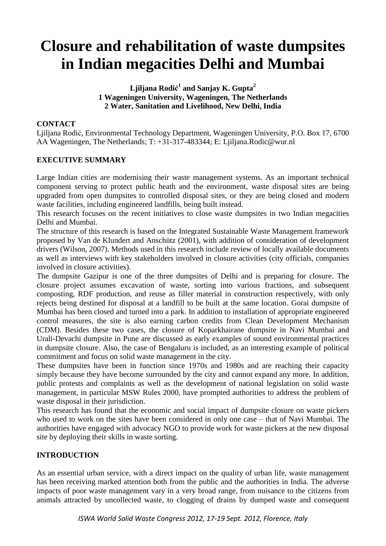# **Closure and rehabilitation of waste dumpsites in Indian megacities Delhi and Mumbai**

## **Ljiljana Rodić 1 and Sanjay K. Gupta<sup>2</sup> 1 Wageningen University, Wageningen, The Netherlands 2 Water, Sanitation and Livelihood, New Delhi, India**

# **CONTACT**

Ljiljana Rodić, Environmental Technology Department, Wageningen University, P.O. Box 17, 6700 AA Wageningen, The Netherlands; T: +31-317-483344; E: Ljiljana.Rodic@wur.nl

# **EXECUTIVE SUMMARY**

Large Indian cities are modernising their waste management systems. As an important technical component serving to protect public heath and the environment, waste disposal sites are being upgraded from open dumpsites to controlled disposal sites, or they are being closed and modern waste facilities, including engineered landfills, being built instead.

This research focuses on the recent initiatives to close waste dumpsites in two Indian megacities Delhi and Mumbai.

The structure of this research is based on the Integrated Sustainable Waste Management framework proposed by Van de Klundert and Anschütz (2001), with addition of consideration of development drivers (Wilson, 2007). Methods used in this research include review of locally available documents as well as interviews with key stakeholders involved in closure activities (city officials, companies involved in closure activities).

The dumpsite Gazipur is one of the three dumpsites of Delhi and is preparing for closure. The closure project assumes excavation of waste, sorting into various fractions, and subsequent composting, RDF production, and reuse as filler material in construction respectively, with only rejects being destined for disposal at a landfill to be built at the same location. Gorai dumpsite of Mumbai has been closed and turned into a park. In addition to installation of appropriate engineered control measures, the site is also earning carbon credits from Clean Development Mechanism (CDM). Besides these two cases, the closure of Koparkhairane dumpsite in Navi Mumbai and Urali-Devachi dumpsite in Pune are discussed as early examples of sound environmental practices in dumpsite closure. Also, the case of Bengaluru is included, as an interesting example of political commitment and focus on solid waste management in the city.

These dumpsites have been in function since 1970s and 1980s and are reaching their capacity simply because they have become surrounded by the city and cannot expand any more. In addition, public protests and complaints as well as the development of national legislation on solid waste management, in particular MSW Rules 2000, have prompted authorities to address the problem of waste disposal in their jurisdiction.

This research has found that the economic and social impact of dumpsite closure on waste pickers who used to work on the sites have been considered in only one case – that of Navi Mumbai. The authorities have engaged with advocacy NGO to provide work for waste pickers at the new disposal site by deploying their skills in waste sorting.

# **INTRODUCTION**

As an essential urban service, with a direct impact on the quality of urban life, waste management has been receiving marked attention both from the public and the authorities in India. The adverse impacts of poor waste management vary in a very broad range, from nuisance to the citizens from animals attracted by uncollected waste, to clogging of drains by dumped waste and consequent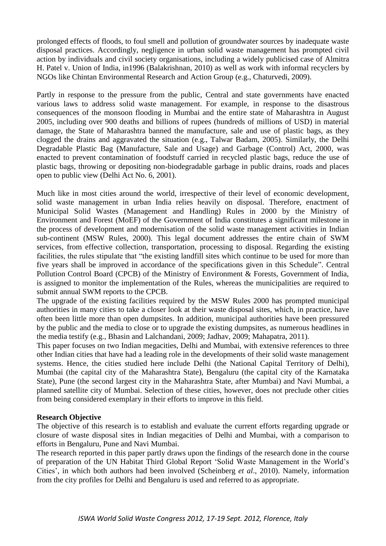prolonged effects of floods, to foul smell and pollution of groundwater sources by inadequate waste disposal practices. Accordingly, negligence in urban solid waste management has prompted civil action by individuals and civil society organisations, including a widely publicised case of Almitra H. Patel v. Union of India, in1996 (Balakrishnan, 2010) as well as work with informal recyclers by NGOs like Chintan Environmental Research and Action Group (e.g., Chaturvedi, 2009).

Partly in response to the pressure from the public, Central and state governments have enacted various laws to address solid waste management. For example, in response to the disastrous consequences of the monsoon flooding in Mumbai and the entire state of Maharashtra in August 2005, including over 900 deaths and billions of rupees (hundreds of millions of USD) in material damage, the State of Maharashtra banned the manufacture, sale and use of plastic bags, as they clogged the drains and aggravated the situation (e.g., Talwar Badam, 2005). Similarly, the Delhi Degradable Plastic Bag (Manufacture, Sale and Usage) and Garbage (Control) Act, 2000, was enacted to prevent contamination of foodstuff carried in recycled plastic bags, reduce the use of plastic bags, throwing or depositing non-biodegradable garbage in public drains, roads and places open to public view (Delhi Act No. 6, 2001).

Much like in most cities around the world, irrespective of their level of economic development, solid waste management in urban India relies heavily on disposal. Therefore, enactment of Municipal Solid Wastes (Management and Handling) Rules in 2000 by the Ministry of Environment and Forest (MoEF) of the Government of India constitutes a significant milestone in the process of development and modernisation of the solid waste management activities in Indian sub-continent (MSW Rules, 2000). This legal document addresses the entire chain of SWM services, from effective collection, transportation, processing to disposal. Regarding the existing facilities, the rules stipulate that "the existing landfill sites which continue to be used for more than five years shall be improved in accordance of the specifications given in this Schedule". Central Pollution Control Board (CPCB) of the Ministry of Environment & Forests, Government of India, is assigned to monitor the implementation of the Rules, whereas the municipalities are required to submit annual SWM reports to the CPCB.

The upgrade of the existing facilities required by the MSW Rules 2000 has prompted municipal authorities in many cities to take a closer look at their waste disposal sites, which, in practice, have often been little more than open dumpsites. In addition, municipal authorities have been pressured by the public and the media to close or to upgrade the existing dumpsites, as numerous headlines in the media testify (e.g., Bhasin and Lalchandani, 2009; Jadhav, 2009; Mahapatra, 2011).

This paper focuses on two Indian megacities, Delhi and Mumbai, with extensive references to three other Indian cities that have had a leading role in the developments of their solid waste management systems. Hence, the cities studied here include Delhi (the National Capital Territory of Delhi), Mumbai (the capital city of the Maharashtra State), Bengaluru (the capital city of the Karnataka State), Pune (the second largest city in the Maharashtra State, after Mumbai) and Navi Mumbai, a planned satellite city of Mumbai. Selection of these cities, however, does not preclude other cities from being considered exemplary in their efforts to improve in this field.

#### **Research Objective**

The objective of this research is to establish and evaluate the current efforts regarding upgrade or closure of waste disposal sites in Indian megacities of Delhi and Mumbai, with a comparison to efforts in Bengaluru, Pune and Navi Mumbai.

The research reported in this paper partly draws upon the findings of the research done in the course of preparation of the UN Habitat Third Global Report 'Solid Waste Management in the World's Cities', in which both authors had been involved (Scheinberg *et al*., 2010). Namely, information from the city profiles for Delhi and Bengaluru is used and referred to as appropriate.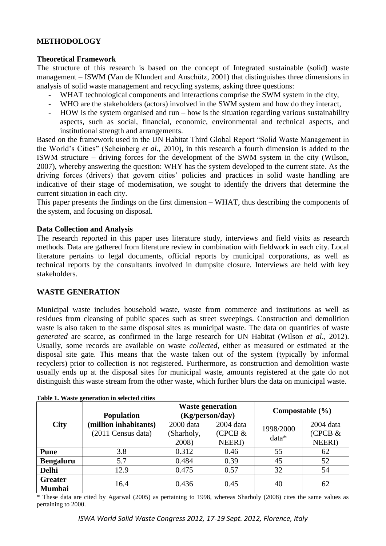## **METHODOLOGY**

#### **Theoretical Framework**

The structure of this research is based on the concept of Integrated sustainable (solid) waste management – ISWM (Van de Klundert and Anschütz, 2001) that distinguishes three dimensions in analysis of solid waste management and recycling systems, asking three questions:

- WHAT technological components and interactions comprise the SWM system in the city,
- WHO are the stakeholders (actors) involved in the SWM system and how do they interact,
- HOW is the system organised and run how is the situation regarding various sustainability aspects, such as social, financial, economic, environmental and technical aspects, and institutional strength and arrangements.

Based on the framework used in the UN Habitat Third Global Report "Solid Waste Management in the World's Cities" (Scheinberg *et al*., 2010), in this research a fourth dimension is added to the ISWM structure – driving forces for the development of the SWM system in the city (Wilson, 2007), whereby answering the question: WHY has the system developed to the current state. As the driving forces (drivers) that govern cities' policies and practices in solid waste handling are indicative of their stage of modernisation, we sought to identify the drivers that determine the current situation in each city.

This paper presents the findings on the first dimension – WHAT, thus describing the components of the system, and focusing on disposal.

#### **Data Collection and Analysis**

The research reported in this paper uses literature study, interviews and field visits as research methods. Data are gathered from literature review in combination with fieldwork in each city. Local literature pertains to legal documents, official reports by municipal corporations, as well as technical reports by the consultants involved in dumpsite closure. Interviews are held with key stakeholders.

#### **WASTE GENERATION**

Municipal waste includes household waste, waste from commerce and institutions as well as residues from cleansing of public spaces such as street sweepings. Construction and demolition waste is also taken to the same disposal sites as municipal waste. The data on quantities of waste *generated* are scarce, as confirmed in the large research for UN Habitat (Wilson *et al*., 2012). Usually, some records are available on waste *collected*, either as measured or estimated at the disposal site gate. This means that the waste taken out of the system (typically by informal recyclers) prior to collection is not registered. Furthermore, as construction and demolition waste usually ends up at the disposal sites for municipal waste, amounts registered at the gate do not distinguish this waste stream from the other waste, which further blurs the data on municipal waste.

|                                 | <b>Population</b>                           | <b>Waste generation</b><br>(Kg/person/day) |                      | Compostable $(\% )$ |                      |
|---------------------------------|---------------------------------------------|--------------------------------------------|----------------------|---------------------|----------------------|
| City                            | (million inhabitants)<br>(2011 Census data) | 2000 data<br>(Sharholy,                    | 2004 data<br>(CPCB & | 1998/2000           | 2004 data<br>(CPCB & |
|                                 |                                             | 2008)                                      | <b>NEERI</b> )       | data*               | <b>NEERI</b> )       |
| <b>Pune</b>                     | 3.8                                         | 0.312                                      | 0.46                 | 55                  | 62                   |
| <b>Bengaluru</b>                | 5.7                                         | 0.484                                      | 0.39                 | 45                  | 52                   |
| <b>Delhi</b>                    | 12.9                                        | 0.475                                      | 0.57                 | 32                  | 54                   |
| <b>Greater</b><br><b>Mumbai</b> | 16.4                                        | 0.436                                      | 0.45                 | 40                  | 62                   |

**Table 1. Waste generation in selected cities**

\* These data are cited by Agarwal (2005) as pertaining to 1998, whereas Sharholy (2008) cites the same values as pertaining to 2000.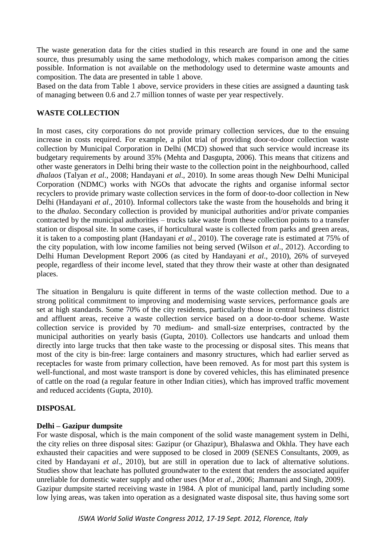The waste generation data for the cities studied in this research are found in one and the same source, thus presumably using the same methodology, which makes comparison among the cities possible. Information is not available on the methodology used to determine waste amounts and composition. The data are presented in table 1 above.

Based on the data from Table 1 above, service providers in these cities are assigned a daunting task of managing between 0.6 and 2.7 million tonnes of waste per year respectively.

# **WASTE COLLECTION**

In most cases, city corporations do not provide primary collection services, due to the ensuing increase in costs required. For example, a pilot trial of providing door-to-door collection waste collection by Municipal Corporation in Delhi (MCD) showed that such service would increase its budgetary requirements by around 35% (Mehta and Dasgupta, 2006). This means that citizens and other waste generators in Delhi bring their waste to the collection point in the neighbourhood, called *dhalaos* (Talyan *et al*., 2008; Handayani *et al*., 2010). In some areas though New Delhi Municipal Corporation (NDMC) works with NGOs that advocate the rights and organise informal sector recyclers to provide primary waste collection services in the form of door-to-door collection in New Delhi (Handayani *et al*., 2010). Informal collectors take the waste from the households and bring it to the *dhalao*. Secondary collection is provided by municipal authorities and/or private companies contracted by the municipal authorities – trucks take waste from these collection points to a transfer station or disposal site. In some cases, if horticultural waste is collected from parks and green areas, it is taken to a composting plant (Handayani *et al*., 2010). The coverage rate is estimated at 75% of the city population, with low income families not being served (Wilson *et al*., 2012). According to Delhi Human Development Report 2006 (as cited by Handayani *et al*., 2010), 26% of surveyed people, regardless of their income level, stated that they throw their waste at other than designated places.

The situation in Bengaluru is quite different in terms of the waste collection method. Due to a strong political commitment to improving and modernising waste services, performance goals are set at high standards. Some 70% of the city residents, particularly those in central business district and affluent areas, receive a waste collection service based on a door-to-door scheme. Waste collection service is provided by 70 medium- and small-size enterprises, contracted by the municipal authorities on yearly basis (Gupta, 2010). Collectors use handcarts and unload them directly into large trucks that then take waste to the processing or disposal sites. This means that most of the city is bin-free: large containers and masonry structures, which had earlier served as receptacles for waste from primary collection, have been removed. As for most part this system is well-functional, and most waste transport is done by covered vehicles, this has eliminated presence of cattle on the road (a regular feature in other Indian cities), which has improved traffic movement and reduced accidents (Gupta, 2010).

## **DISPOSAL**

#### **Delhi – Gazipur dumpsite**

For waste disposal, which is the main component of the solid waste management system in Delhi, the city relies on three disposal sites: Gazipur (or Ghazipur), Bhalaswa and Okhla. They have each exhausted their capacities and were supposed to be closed in 2009 (SENES Consultants, 2009, as cited by Handayani *et al*., 2010), but are still in operation due to lack of alternative solutions. Studies show that leachate has polluted groundwater to the extent that renders the associated aquifer unreliable for domestic water supply and other uses (Mor *et al*., 2006; Jhamnani and Singh, 2009). Gazipur dumpsite started receiving waste in 1984. A plot of municipal land, partly including some low lying areas, was taken into operation as a designated waste disposal site, thus having some sort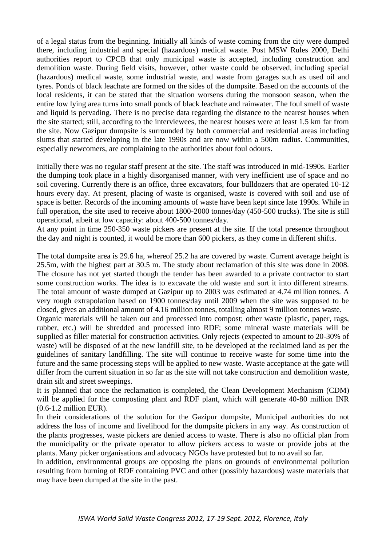of a legal status from the beginning. Initially all kinds of waste coming from the city were dumped there, including industrial and special (hazardous) medical waste. Post MSW Rules 2000, Delhi authorities report to CPCB that only municipal waste is accepted, including construction and demolition waste. During field visits, however, other waste could be observed, including special (hazardous) medical waste, some industrial waste, and waste from garages such as used oil and tyres. Ponds of black leachate are formed on the sides of the dumpsite. Based on the accounts of the local residents, it can be stated that the situation worsens during the monsoon season, when the entire low lying area turns into small ponds of black leachate and rainwater. The foul smell of waste and liquid is pervading. There is no precise data regarding the distance to the nearest houses when the site started; still, according to the interviewees, the nearest houses were at least 1.5 km far from the site. Now Gazipur dumpsite is surrounded by both commercial and residential areas including slums that started developing in the late 1990s and are now within a 500m radius. Communities, especially newcomers, are complaining to the authorities about foul odours.

Initially there was no regular staff present at the site. The staff was introduced in mid-1990s. Earlier the dumping took place in a highly disorganised manner, with very inefficient use of space and no soil covering. Currently there is an office, three excavators, four bulldozers that are operated 10-12 hours every day. At present, placing of waste is organised, waste is covered with soil and use of space is better. Records of the incoming amounts of waste have been kept since late 1990s. While in full operation, the site used to receive about 1800-2000 tonnes/day (450-500 trucks). The site is still operational, albeit at low capacity: about 400-500 tonnes/day.

At any point in time 250-350 waste pickers are present at the site. If the total presence throughout the day and night is counted, it would be more than 600 pickers, as they come in different shifts.

The total dumpsite area is 29.6 ha, whereof 25.2 ha are covered by waste. Current average height is 25.5m, with the highest part at 30.5 m. The study about reclamation of this site was done in 2008. The closure has not yet started though the tender has been awarded to a private contractor to start some construction works. The idea is to excavate the old waste and sort it into different streams. The total amount of waste dumped at Gazipur up to 2003 was estimated at 4.74 million tonnes. A very rough extrapolation based on 1900 tonnes/day until 2009 when the site was supposed to be closed, gives an additional amount of 4.16 million tonnes, totalling almost 9 million tonnes waste.

Organic materials will be taken out and processed into compost; other waste (plastic, paper, rags, rubber, etc.) will be shredded and processed into RDF; some mineral waste materials will be supplied as filler material for construction activities. Only rejects (expected to amount to 20-30% of waste) will be disposed of at the new landfill site, to be developed at the reclaimed land as per the guidelines of sanitary landfilling. The site will continue to receive waste for some time into the future and the same processing steps will be applied to new waste. Waste acceptance at the gate will differ from the current situation in so far as the site will not take construction and demolition waste, drain silt and street sweepings.

It is planned that once the reclamation is completed, the Clean Development Mechanism (CDM) will be applied for the composting plant and RDF plant, which will generate 40-80 million INR (0.6-1.2 million EUR).

In their considerations of the solution for the Gazipur dumpsite, Municipal authorities do not address the loss of income and livelihood for the dumpsite pickers in any way. As construction of the plants progresses, waste pickers are denied access to waste. There is also no official plan from the municipality or the private operator to allow pickers access to waste or provide jobs at the plants. Many picker organisations and advocacy NGOs have protested but to no avail so far.

In addition, environmental groups are opposing the plans on grounds of environmental pollution resulting from burning of RDF containing PVC and other (possibly hazardous) waste materials that may have been dumped at the site in the past.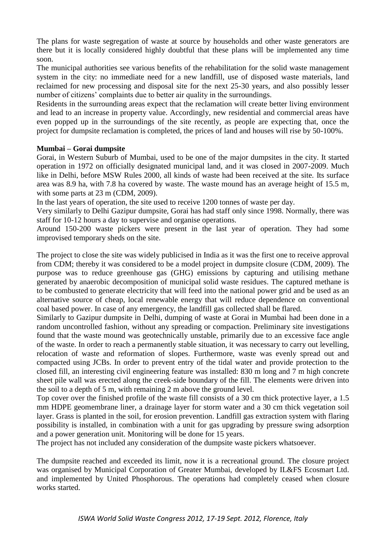The plans for waste segregation of waste at source by households and other waste generators are there but it is locally considered highly doubtful that these plans will be implemented any time soon.

The municipal authorities see various benefits of the rehabilitation for the solid waste management system in the city: no immediate need for a new landfill, use of disposed waste materials, land reclaimed for new processing and disposal site for the next 25-30 years, and also possibly lesser number of citizens' complaints due to better air quality in the surroundings.

Residents in the surrounding areas expect that the reclamation will create better living environment and lead to an increase in property value. Accordingly, new residential and commercial areas have even popped up in the surroundings of the site recently, as people are expecting that, once the project for dumpsite reclamation is completed, the prices of land and houses will rise by 50-100%.

## **Mumbai – Gorai dumpsite**

Gorai, in Western Suburb of Mumbai, used to be one of the major dumpsites in the city. It started operation in 1972 on officially designated municipal land, and it was closed in 2007-2009. Much like in Delhi, before MSW Rules 2000, all kinds of waste had been received at the site. Its surface area was 8.9 ha, with 7.8 ha covered by waste. The waste mound has an average height of 15.5 m, with some parts at 23 m (CDM, 2009).

In the last years of operation, the site used to receive 1200 tonnes of waste per day.

Very similarly to Delhi Gazipur dumpsite, Gorai has had staff only since 1998. Normally, there was staff for 10-12 hours a day to supervise and organise operations.

Around 150-200 waste pickers were present in the last year of operation. They had some improvised temporary sheds on the site.

The project to close the site was widely publicised in India as it was the first one to receive approval from CDM; thereby it was considered to be a model project in dumpsite closure (CDM, 2009). The purpose was to reduce greenhouse gas (GHG) emissions by capturing and utilising methane generated by anaerobic decomposition of municipal solid waste residues. The captured methane is to be combusted to generate electricity that will feed into the national power grid and be used as an alternative source of cheap, local renewable energy that will reduce dependence on conventional coal based power. In case of any emergency, the landfill gas collected shall be flared.

Similarly to Gazipur dumpsite in Delhi, dumping of waste at Gorai in Mumbai had been done in a random uncontrolled fashion, without any spreading or compaction. Preliminary site investigations found that the waste mound was geotechnically unstable, primarily due to an excessive face angle of the waste. In order to reach a permanently stable situation, it was necessary to carry out levelling, relocation of waste and reformation of slopes. Furthermore, waste was evenly spread out and compacted using JCBs. In order to prevent entry of the tidal water and provide protection to the closed fill, an interesting civil engineering feature was installed: 830 m long and 7 m high concrete sheet pile wall was erected along the creek-side boundary of the fill. The elements were driven into the soil to a depth of 5 m, with remaining 2 m above the ground level.

Top cover over the finished profile of the waste fill consists of a 30 cm thick protective layer, a 1.5 mm HDPE geomembrane liner, a drainage layer for storm water and a 30 cm thick vegetation soil layer. Grass is planted in the soil, for erosion prevention. Landfill gas extraction system with flaring possibility is installed, in combination with a unit for gas upgrading by pressure swing adsorption and a power generation unit. Monitoring will be done for 15 years.

The project has not included any consideration of the dumpsite waste pickers whatsoever.

The dumpsite reached and exceeded its limit, now it is a recreational ground. The closure project was organised by Municipal Corporation of Greater Mumbai, developed by IL&FS Ecosmart Ltd. and implemented by United Phosphorous. The operations had completely ceased when closure works started.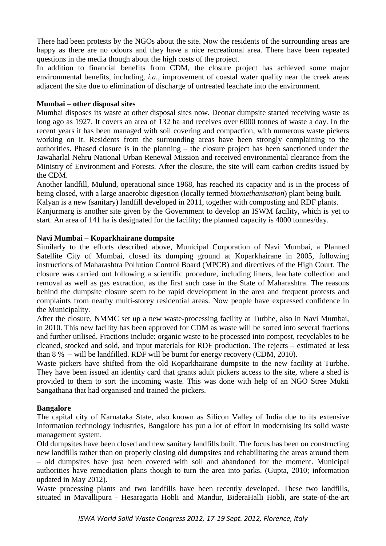There had been protests by the NGOs about the site. Now the residents of the surrounding areas are happy as there are no odours and they have a nice recreational area. There have been repeated questions in the media though about the high costs of the project.

In addition to financial benefits from CDM, the closure project has achieved some major environmental benefits, including, *i.a*., improvement of coastal water quality near the creek areas adjacent the site due to elimination of discharge of untreated leachate into the environment.

#### **Mumbai – other disposal sites**

Mumbai disposes its waste at other disposal sites now. Deonar dumpsite started receiving waste as long ago as 1927. It covers an area of 132 ha and receives over 6000 tonnes of waste a day. In the recent years it has been managed with soil covering and compaction, with numerous waste pickers working on it. Residents from the surrounding areas have been strongly complaining to the authorities. Phased closure is in the planning – the closure project has been sanctioned under the Jawaharlal Nehru National Urban Renewal Mission and received environmental clearance from the Ministry of Environment and Forests. After the closure, the site will earn carbon credits issued by the CDM.

Another landfill, Mulund, operational since 1968, has reached its capacity and is in the process of being closed, with a large anaerobic digestion (locally termed *biomethanisation*) plant being built. Kalyan is a new (sanitary) landfill developed in 2011, together with composting and RDF plants.

Kanjurmarg is another site given by the Government to develop an ISWM facility, which is yet to start. An area of 141 ha is designated for the facility; the planned capacity is 4000 tonnes/day.

#### **Navi Mumbai – Koparkhairane dumpsite**

Similarly to the efforts described above, Municipal Corporation of Navi Mumbai, a Planned Satellite City of Mumbai, closed its dumping ground at Koparkhairane in 2005, following instructions of Maharashtra Pollution Control Board (MPCB) and directives of the High Court. The closure was carried out following a scientific procedure, including liners, leachate collection and removal as well as gas extraction, as the first such case in the State of Maharashtra. The reasons behind the dumpsite closure seem to be rapid development in the area and frequent protests and complaints from nearby multi-storey residential areas. Now people have expressed confidence in the Municipality.

After the closure, NMMC set up a new waste-processing facility at Turbhe, also in Navi Mumbai, in 2010. This new facility has been approved for CDM as waste will be sorted into several fractions and further utilised. Fractions include: organic waste to be processed into compost, recyclables to be cleaned, stocked and sold, and input materials for RDF production. The rejects – estimated at less than 8 % – will be landfilled. RDF will be burnt for energy recovery (CDM, 2010).

Waste pickers have shifted from the old Koparkhairane dumpsite to the new facility at Turbhe. They have been issued an identity card that grants adult pickers access to the site, where a shed is provided to them to sort the incoming waste. This was done with help of an NGO Stree Mukti Sangathana that had organised and trained the pickers.

## **Bangalore**

The capital city of Karnataka State, also known as Silicon Valley of India due to its extensive information technology industries, Bangalore has put a lot of effort in modernising its solid waste management system.

Old dumpsites have been closed and new sanitary landfills built. The focus has been on constructing new landfills rather than on properly closing old dumpsites and rehabilitating the areas around them – old dumpsites have just been covered with soil and abandoned for the moment. Municipal authorities have remediation plans though to turn the area into parks. (Gupta, 2010; information updated in May 2012).

Waste processing plants and two landfills have been recently developed. These two landfills, situated in Mavallipura - Hesaragatta Hobli and Mandur, BideraHalli Hobli, are state-of-the-art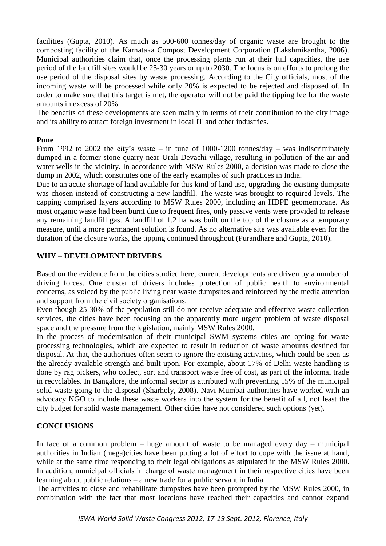facilities (Gupta, 2010). As much as 500-600 tonnes/day of organic waste are brought to the composting facility of the Karnataka Compost Development Corporation (Lakshmikantha, 2006). Municipal authorities claim that, once the processing plants run at their full capacities, the use period of the landfill sites would be 25-30 years or up to 2030. The focus is on efforts to prolong the use period of the disposal sites by waste processing. According to the City officials, most of the incoming waste will be processed while only 20% is expected to be rejected and disposed of. In order to make sure that this target is met, the operator will not be paid the tipping fee for the waste amounts in excess of 20%.

The benefits of these developments are seen mainly in terms of their contribution to the city image and its ability to attract foreign investment in local IT and other industries.

#### **Pune**

From 1992 to 2002 the city's waste – in tune of 1000-1200 tonnes/day – was indiscriminately dumped in a former stone quarry near Urali-Devachi village, resulting in pollution of the air and water wells in the vicinity. In accordance with MSW Rules 2000, a decision was made to close the dump in 2002, which constitutes one of the early examples of such practices in India.

Due to an acute shortage of land available for this kind of land use, upgrading the existing dumpsite was chosen instead of constructing a new landfill. The waste was brought to required levels. The capping comprised layers according to MSW Rules 2000, including an HDPE geomembrane. As most organic waste had been burnt due to frequent fires, only passive vents were provided to release any remaining landfill gas. A landfill of 1.2 ha was built on the top of the closure as a temporary measure, until a more permanent solution is found. As no alternative site was available even for the duration of the closure works, the tipping continued throughout (Purandhare and Gupta, 2010).

## **WHY – DEVELOPMENT DRIVERS**

Based on the evidence from the cities studied here, current developments are driven by a number of driving forces. One cluster of drivers includes protection of public health to environmental concerns, as voiced by the public living near waste dumpsites and reinforced by the media attention and support from the civil society organisations.

Even though 25-30% of the population still do not receive adequate and effective waste collection services, the cities have been focusing on the apparently more urgent problem of waste disposal space and the pressure from the legislation, mainly MSW Rules 2000.

In the process of modernisation of their municipal SWM systems cities are opting for waste processing technologies, which are expected to result in reduction of waste amounts destined for disposal. At that, the authorities often seem to ignore the existing activities, which could be seen as the already available strength and built upon. For example, about 17% of Delhi waste handling is done by rag pickers, who collect, sort and transport waste free of cost, as part of the informal trade in recyclables. In Bangalore, the informal sector is attributed with preventing 15% of the municipal solid waste going to the disposal (Sharholy, 2008). Navi Mumbai authorities have worked with an advocacy NGO to include these waste workers into the system for the benefit of all, not least the city budget for solid waste management. Other cities have not considered such options (yet).

## **CONCLUSIONS**

In face of a common problem – huge amount of waste to be managed every day – municipal authorities in Indian (mega)cities have been putting a lot of effort to cope with the issue at hand, while at the same time responding to their legal obligations as stipulated in the MSW Rules 2000. In addition, municipal officials in charge of waste management in their respective cities have been learning about public relations – a new trade for a public servant in India.

The activities to close and rehabilitate dumpsites have been prompted by the MSW Rules 2000, in combination with the fact that most locations have reached their capacities and cannot expand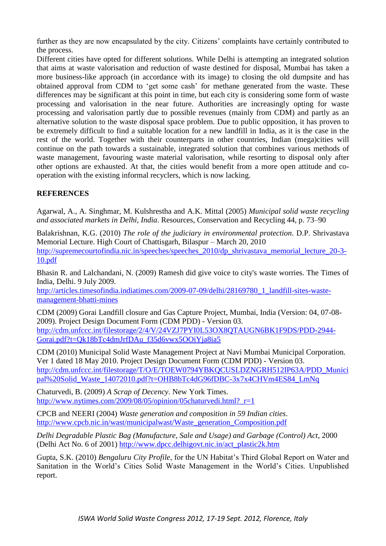further as they are now encapsulated by the city. Citizens' complaints have certainly contributed to the process.

Different cities have opted for different solutions. While Delhi is attempting an integrated solution that aims at waste valorisation and reduction of waste destined for disposal, Mumbai has taken a more business-like approach (in accordance with its image) to closing the old dumpsite and has obtained approval from CDM to 'get some cash' for methane generated from the waste. These differences may be significant at this point in time, but each city is considering some form of waste processing and valorisation in the near future. Authorities are increasingly opting for waste processing and valorisation partly due to possible revenues (mainly from CDM) and partly as an alternative solution to the waste disposal space problem. Due to public opposition, it has proven to be extremely difficult to find a suitable location for a new landfill in India, as it is the case in the rest of the world. Together with their counterparts in other countries, Indian (mega)cities will continue on the path towards a sustainable, integrated solution that combines various methods of waste management, favouring waste material valorisation, while resorting to disposal only after other options are exhausted. At that, the cities would benefit from a more open attitude and cooperation with the existing informal recyclers, which is now lacking.

# **REFERENCES**

Agarwal, A., A. Singhmar, M. Kulshrestha and A.K. Mittal (2005) *Municipal solid waste recycling and associated markets in Delhi, India*. Resources, Conservation and Recycling 44, p. 73–90

Balakrishnan, K.G. (2010) *The role of the judiciary in environmental protection*. D.P. Shrivastava Memorial Lecture. High Court of Chattisgarh, Bilaspur – March 20, 2010 [http://supremecourtofindia.nic.in/speeches/speeches\\_2010/dp\\_shrivastava\\_memorial\\_lecture\\_20-3-](http://supremecourtofindia.nic.in/speeches/speeches_2010/dp_shrivastava_memorial_lecture_20-3-10.pdf) [10.pdf](http://supremecourtofindia.nic.in/speeches/speeches_2010/dp_shrivastava_memorial_lecture_20-3-10.pdf)

Bhasin R. and Lalchandani, N. (2009) Ramesh did give voice to city's waste worries. The Times of India, Delhi. 9 July 2009.

http://articles.timesofindia.indiatimes.com/2009-07-09/delhi/28169780\_1\_landfill-sites-wastemanagement-bhatti-mines

CDM (2009) Gorai Landfill closure and Gas Capture Project, Mumbai, India (Version: 04, 07-08- 2009). Project Design Document Form (CDM PDD) - Version 03. http://cdm.unfccc.int/filestorage/2/4/V/24VZJ7PYI0L53OX8QTAUGN6BK1F9DS/PDD-2944- Gorai.pdf?t=Qk18bTc4dmJrfDAu\_f35d6vwx5OOiYja8ia5

CDM (2010) Municipal Solid Waste Management Project at Navi Mumbai Municipal Corporation. Ver 1 dated 18 May 2010. Project Design Document Form (CDM PDD) - Version 03. http://cdm.unfccc.int/filestorage/T/O/E/TOEW0794YBKQCUSLDZNGRH512IP63A/PDD\_Munici pal%20Solid\_Waste\_14072010.pdf?t=OHB8bTc4dG96fDBC-3x7x4CHVm4ES84\_LmNq

Chaturvedi, B. (2009) *A Scrap of Decency*. New York Times. http://www.nytimes.com/2009/08/05/opinion/05chaturvedi.html? r=1

CPCB and NEERI (2004) *Waste generation and composition in 59 Indian cities*. [http://www.cpcb.nic.in/wast/municipalwast/Waste\\_generation\\_Composition.pdf](http://www.cpcb.nic.in/wast/municipalwast/Waste_generation_Composition.pdf)

*Delhi Degradable Plastic Bag (Manufacture, Sale and Usage) and Garbage (Control) Act*, 2000 (Delhi Act No. 6 of 2001) [http://www.dpcc.delhigovt.nic.in/act\\_plastic2k.htm](http://www.dpcc.delhigovt.nic.in/act_plastic2k.htm)

Gupta, S.K. (2010) *Bengaluru City Profile*, for the UN Habitat's Third Global Report on Water and Sanitation in the World's Cities Solid Waste Management in the World's Cities. Unpublished report.